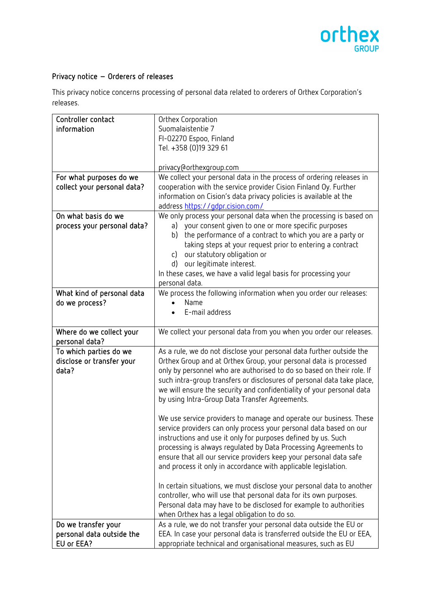

## Privacy notice – Orderers of releases

This privacy notice concerns processing of personal data related to orderers of Orthex Corporation's releases.

| Controller contact          | Orthex Corporation                                                     |
|-----------------------------|------------------------------------------------------------------------|
| information                 | Suomalaistentie 7                                                      |
|                             | FI-02270 Espoo, Finland                                                |
|                             | Tel. +358 (0)19 329 61                                                 |
|                             |                                                                        |
|                             | privacy@orthexgroup.com                                                |
| For what purposes do we     | We collect your personal data in the process of ordering releases in   |
| collect your personal data? | cooperation with the service provider Cision Finland Oy. Further       |
|                             | information on Cision's data privacy policies is available at the      |
|                             |                                                                        |
|                             | address https://gdpr.cision.com/                                       |
| On what basis do we         | We only process your personal data when the processing is based on     |
| process your personal data? | your consent given to one or more specific purposes<br>a)              |
|                             | the performance of a contract to which you are a party or<br>b)        |
|                             | taking steps at your request prior to entering a contract              |
|                             | our statutory obligation or<br>c)                                      |
|                             | our legitimate interest.<br>d)                                         |
|                             | In these cases, we have a valid legal basis for processing your        |
|                             | personal data.                                                         |
| What kind of personal data  | We process the following information when you order our releases:      |
|                             | Name                                                                   |
| do we process?              |                                                                        |
|                             | E-mail address                                                         |
|                             |                                                                        |
| Where do we collect your    | We collect your personal data from you when you order our releases.    |
| personal data?              |                                                                        |
| To which parties do we      | As a rule, we do not disclose your personal data further outside the   |
| disclose or transfer your   | Orthex Group and at Orthex Group, your personal data is processed      |
| data?                       | only by personnel who are authorised to do so based on their role. If  |
|                             | such intra-group transfers or disclosures of personal data take place, |
|                             | we will ensure the security and confidentiality of your personal data  |
|                             | by using Intra-Group Data Transfer Agreements.                         |
|                             |                                                                        |
|                             | We use service providers to manage and operate our business. These     |
|                             |                                                                        |
|                             | service providers can only process your personal data based on our     |
|                             | instructions and use it only for purposes defined by us. Such          |
|                             | processing is always regulated by Data Processing Agreements to        |
|                             | ensure that all our service providers keep your personal data safe     |
|                             | and process it only in accordance with applicable legislation.         |
|                             |                                                                        |
|                             | In certain situations, we must disclose your personal data to another  |
|                             | controller, who will use that personal data for its own purposes.      |
|                             | Personal data may have to be disclosed for example to authorities      |
|                             | when Orthex has a legal obligation to do so.                           |
| Do we transfer your         | As a rule, we do not transfer your personal data outside the EU or     |
|                             |                                                                        |
| personal data outside the   | EEA. In case your personal data is transferred outside the EU or EEA,  |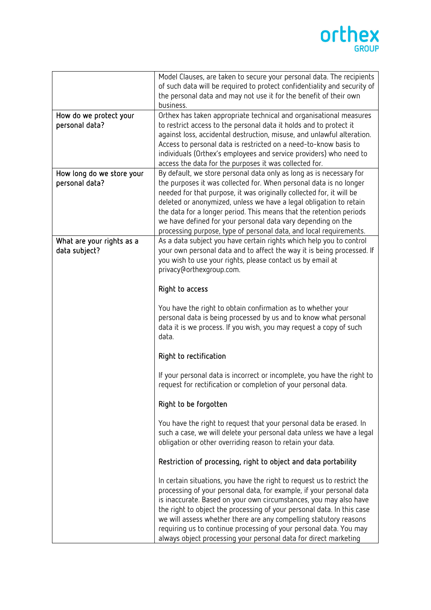## orthex

|                           | Model Clauses, are taken to secure your personal data. The recipients                                                                      |
|---------------------------|--------------------------------------------------------------------------------------------------------------------------------------------|
|                           | of such data will be required to protect confidentiality and security of                                                                   |
|                           | the personal data and may not use it for the benefit of their own                                                                          |
|                           | business.                                                                                                                                  |
| How do we protect your    | Orthex has taken appropriate technical and organisational measures                                                                         |
| personal data?            | to restrict access to the personal data it holds and to protect it                                                                         |
|                           | against loss, accidental destruction, misuse, and unlawful alteration.<br>Access to personal data is restricted on a need-to-know basis to |
|                           | individuals (Orthex's employees and service providers) who need to                                                                         |
|                           | access the data for the purposes it was collected for.                                                                                     |
| How long do we store your | By default, we store personal data only as long as is necessary for                                                                        |
| personal data?            | the purposes it was collected for. When personal data is no longer                                                                         |
|                           | needed for that purpose, it was originally collected for, it will be                                                                       |
|                           | deleted or anonymized, unless we have a legal obligation to retain                                                                         |
|                           | the data for a longer period. This means that the retention periods                                                                        |
|                           | we have defined for your personal data vary depending on the                                                                               |
|                           | processing purpose, type of personal data, and local requirements.                                                                         |
| What are your rights as a | As a data subject you have certain rights which help you to control                                                                        |
| data subject?             | your own personal data and to affect the way it is being processed. If                                                                     |
|                           | you wish to use your rights, please contact us by email at                                                                                 |
|                           | privacy@orthexgroup.com.                                                                                                                   |
|                           | Right to access                                                                                                                            |
|                           |                                                                                                                                            |
|                           | You have the right to obtain confirmation as to whether your                                                                               |
|                           | personal data is being processed by us and to know what personal                                                                           |
|                           | data it is we process. If you wish, you may request a copy of such<br>data.                                                                |
|                           |                                                                                                                                            |
|                           | Right to rectification                                                                                                                     |
|                           | If your personal data is incorrect or incomplete, you have the right to                                                                    |
|                           | request for rectification or completion of your personal data.                                                                             |
|                           |                                                                                                                                            |
|                           | Right to be forgotten                                                                                                                      |
|                           | You have the right to request that your personal data be erased. In                                                                        |
|                           | such a case, we will delete your personal data unless we have a legal                                                                      |
|                           | obligation or other overriding reason to retain your data.                                                                                 |
|                           |                                                                                                                                            |
|                           | Restriction of processing, right to object and data portability                                                                            |
|                           | In certain situations, you have the right to request us to restrict the                                                                    |
|                           | processing of your personal data, for example, if your personal data                                                                       |
|                           | is inaccurate. Based on your own circumstances, you may also have                                                                          |
|                           | the right to object the processing of your personal data. In this case                                                                     |
|                           | we will assess whether there are any compelling statutory reasons                                                                          |
|                           | requiring us to continue processing of your personal data. You may                                                                         |
|                           | always object processing your personal data for direct marketing                                                                           |